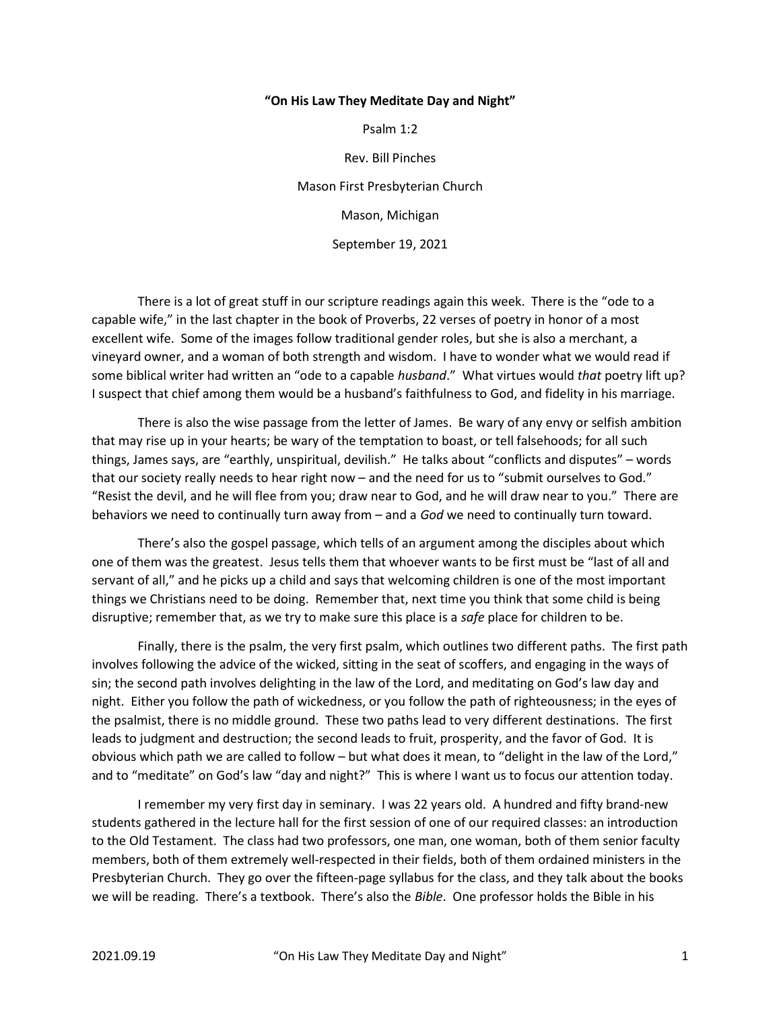## "On His Law They Meditate Day and Night"

Psalm 1:2

Rev. Bill Pinches Mason First Presbyterian Church Mason, Michigan September 19, 2021

 There is a lot of great stuff in our scripture readings again this week. There is the "ode to a capable wife," in the last chapter in the book of Proverbs, 22 verses of poetry in honor of a most excellent wife. Some of the images follow traditional gender roles, but she is also a merchant, a vineyard owner, and a woman of both strength and wisdom. I have to wonder what we would read if some biblical writer had written an "ode to a capable husband." What virtues would that poetry lift up? I suspect that chief among them would be a husband's faithfulness to God, and fidelity in his marriage.

 There is also the wise passage from the letter of James. Be wary of any envy or selfish ambition that may rise up in your hearts; be wary of the temptation to boast, or tell falsehoods; for all such things, James says, are "earthly, unspiritual, devilish." He talks about "conflicts and disputes" – words that our society really needs to hear right now – and the need for us to "submit ourselves to God." "Resist the devil, and he will flee from you; draw near to God, and he will draw near to you." There are behaviors we need to continually turn away from – and a God we need to continually turn toward.

 There's also the gospel passage, which tells of an argument among the disciples about which one of them was the greatest. Jesus tells them that whoever wants to be first must be "last of all and servant of all," and he picks up a child and says that welcoming children is one of the most important things we Christians need to be doing. Remember that, next time you think that some child is being disruptive; remember that, as we try to make sure this place is a safe place for children to be.

 Finally, there is the psalm, the very first psalm, which outlines two different paths. The first path involves following the advice of the wicked, sitting in the seat of scoffers, and engaging in the ways of sin; the second path involves delighting in the law of the Lord, and meditating on God's law day and night. Either you follow the path of wickedness, or you follow the path of righteousness; in the eyes of the psalmist, there is no middle ground. These two paths lead to very different destinations. The first leads to judgment and destruction; the second leads to fruit, prosperity, and the favor of God. It is obvious which path we are called to follow – but what does it mean, to "delight in the law of the Lord," and to "meditate" on God's law "day and night?" This is where I want us to focus our attention today.

 I remember my very first day in seminary. I was 22 years old. A hundred and fifty brand-new students gathered in the lecture hall for the first session of one of our required classes: an introduction to the Old Testament. The class had two professors, one man, one woman, both of them senior faculty members, both of them extremely well-respected in their fields, both of them ordained ministers in the Presbyterian Church. They go over the fifteen-page syllabus for the class, and they talk about the books we will be reading. There's a textbook. There's also the Bible. One professor holds the Bible in his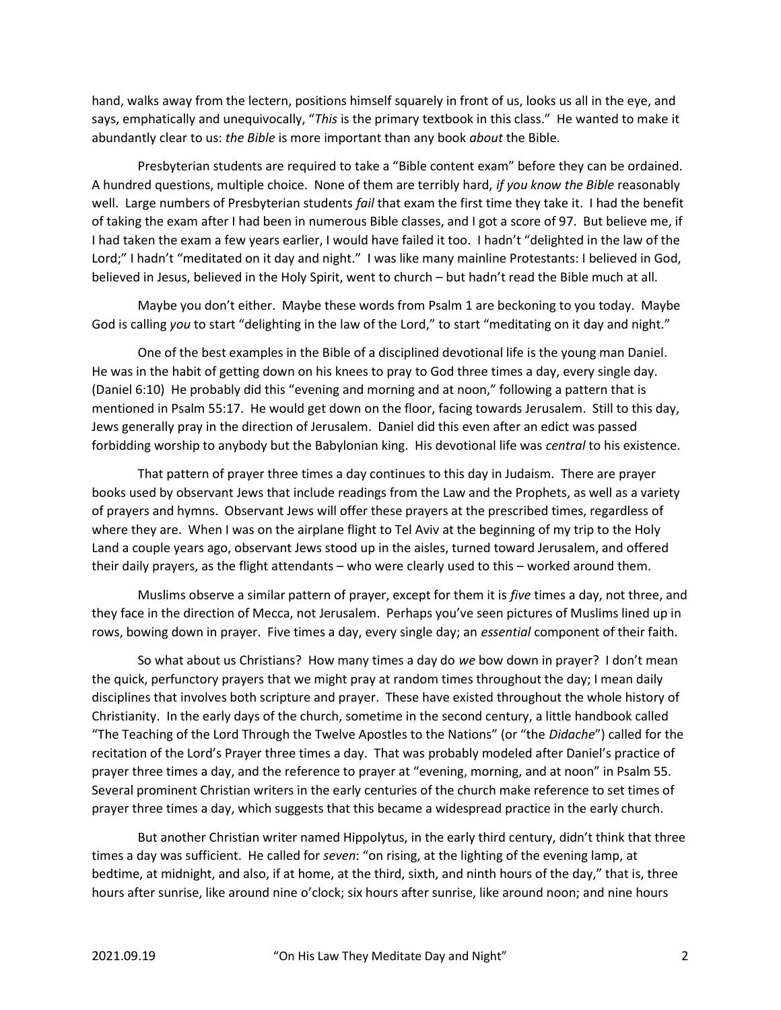hand, walks away from the lectern, positions himself squarely in front of us, looks us all in the eye, and says, emphatically and unequivocally, "This is the primary textbook in this class." He wanted to make it abundantly clear to us: the Bible is more important than any book *about* the Bible.

 Presbyterian students are required to take a "Bible content exam" before they can be ordained. A hundred questions, multiple choice. None of them are terribly hard, if you know the Bible reasonably well. Large numbers of Presbyterian students fail that exam the first time they take it. I had the benefit of taking the exam after I had been in numerous Bible classes, and I got a score of 97. But believe me, if I had taken the exam a few years earlier, I would have failed it too. I hadn't "delighted in the law of the Lord;" I hadn't "meditated on it day and night." I was like many mainline Protestants: I believed in God, believed in Jesus, believed in the Holy Spirit, went to church – but hadn't read the Bible much at all.

 Maybe you don't either. Maybe these words from Psalm 1 are beckoning to you today. Maybe God is calling you to start "delighting in the law of the Lord," to start "meditating on it day and night."

 One of the best examples in the Bible of a disciplined devotional life is the young man Daniel. He was in the habit of getting down on his knees to pray to God three times a day, every single day. (Daniel 6:10) He probably did this "evening and morning and at noon," following a pattern that is mentioned in Psalm 55:17. He would get down on the floor, facing towards Jerusalem. Still to this day, Jews generally pray in the direction of Jerusalem. Daniel did this even after an edict was passed forbidding worship to anybody but the Babylonian king. His devotional life was *central* to his existence.

 That pattern of prayer three times a day continues to this day in Judaism. There are prayer books used by observant Jews that include readings from the Law and the Prophets, as well as a variety of prayers and hymns. Observant Jews will offer these prayers at the prescribed times, regardless of where they are. When I was on the airplane flight to Tel Aviv at the beginning of my trip to the Holy Land a couple years ago, observant Jews stood up in the aisles, turned toward Jerusalem, and offered their daily prayers, as the flight attendants – who were clearly used to this – worked around them.

Muslims observe a similar pattern of prayer, except for them it is *five* times a day, not three, and they face in the direction of Mecca, not Jerusalem. Perhaps you've seen pictures of Muslims lined up in rows, bowing down in prayer. Five times a day, every single day; an *essential* component of their faith.

 So what about us Christians? How many times a day do we bow down in prayer? I don't mean the quick, perfunctory prayers that we might pray at random times throughout the day; I mean daily disciplines that involves both scripture and prayer. These have existed throughout the whole history of Christianity. In the early days of the church, sometime in the second century, a little handbook called "The Teaching of the Lord Through the Twelve Apostles to the Nations" (or "the Didache") called for the recitation of the Lord's Prayer three times a day. That was probably modeled after Daniel's practice of prayer three times a day, and the reference to prayer at "evening, morning, and at noon" in Psalm 55. Several prominent Christian writers in the early centuries of the church make reference to set times of prayer three times a day, which suggests that this became a widespread practice in the early church.

 But another Christian writer named Hippolytus, in the early third century, didn't think that three times a day was sufficient. He called for seven: "on rising, at the lighting of the evening lamp, at bedtime, at midnight, and also, if at home, at the third, sixth, and ninth hours of the day," that is, three hours after sunrise, like around nine o'clock; six hours after sunrise, like around noon; and nine hours